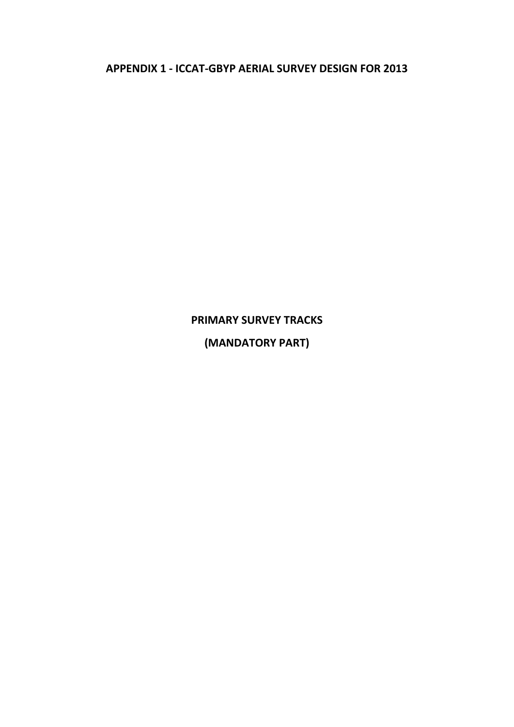**APPENDIX 1 - ICCAT-GBYP AERIAL SURVEY DESIGN FOR 2013**

# **PRIMARY SURVEY TRACKS (MANDATORY PART)**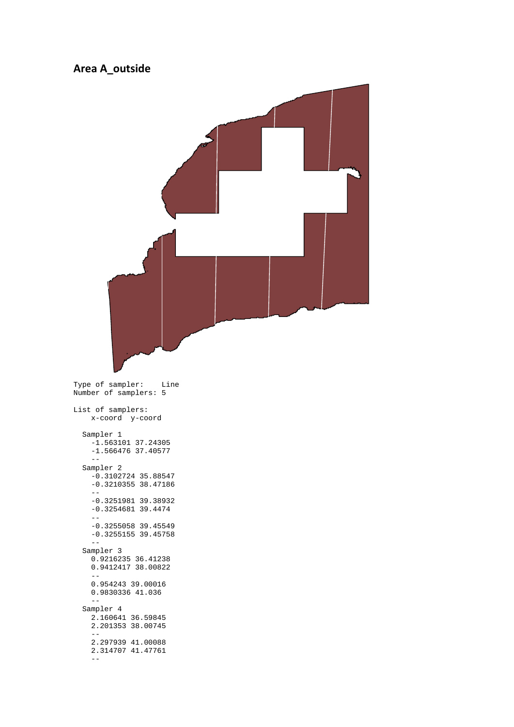#### **Area A\_outside**



Type of sampler: Line Number of samplers: 5

List of samplers: x-coord y-coord Sampler 1 -1.563101 37.24305  $-1.566476$  37.40577 -- Sampler 2 -0.3102724 35.88547 -0.3210355 38.47186 -- -0.3251981 39.38932 -0.3254681 39.4474 -- -0.3255058 39.45549 -0.3255155 39.45758 -- Sampler 3 0.9216235 36.41238 0.9412417 38.00822 -- 0.954243 39.00016 0.9830336 41.036 -- Sampler 4

 2.160641 36.59845 2.201353 38.00745 -- 2.297939 41.00088 2.314707 41.47761 --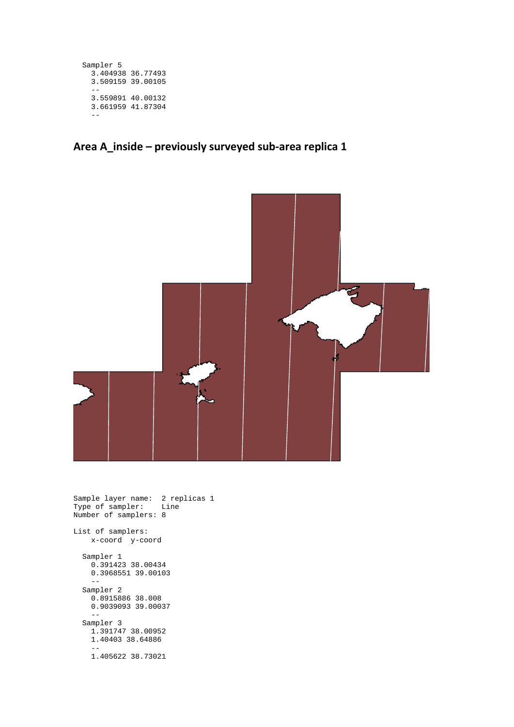```
 Sampler 5
   3.404938 36.77493
   3.509159 39.00105
  - - 3.559891 40.00132
   3.661959 41.87304
   --
```
### **Area A\_inside – previously surveyed sub-area replica 1**



Sample layer name: 2 replicas 1 Type of sampler: Line Number of samplers: 8 List of samplers: x-coord y-coord Sampler 1 0.391423 38.00434 0.3968551 39.00103 -- Sampler 2 0.8915886 38.008 0.9039093 39.00037  $\mathbb{L} \mathbb{L}$  Sampler 3 1.391747 38.00952 1.40403 38.64886

 -- 1.405622 38.73021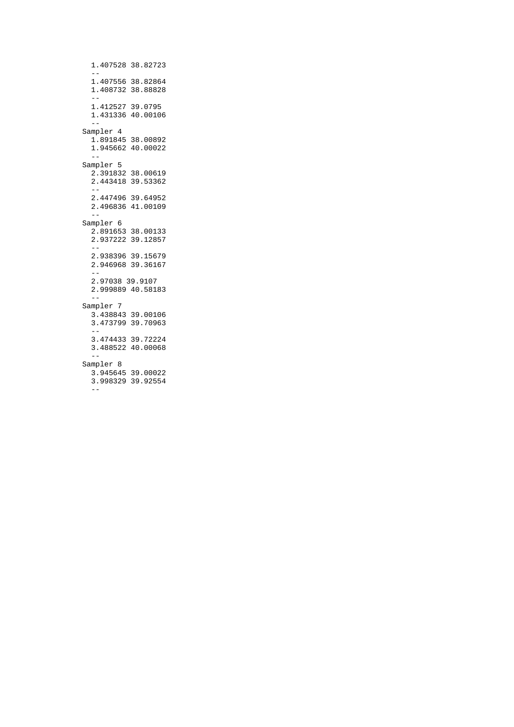1.407528 38.82723 -- 1.407556 38.82864 1.408732 38.88828 -- 1.412527 39.0795 1.431336 40.00106 -- Sampler 4  $1.891845$  38.00892  $1.945662$  40.00022 -- Sampler 5 2.391832 38.00619 2.443418 39.53362 -- 2.447496 39.64952 2.496836 41.00109<br>-- -- Sampler 6 2.891653 38.00133 2.937222 39.12857 -- 2.938396 39.15679 2.946968 39.36167 -- 2.97038 39.9107 2.999889 40.58183 -- Sampler 7 3.438843 39.00106 3.473799 39.70963 -- 3.474433 39.72224 3.488522 40.00068 -- Sampler 8 3.945645 39.00022 3.998329 39.92554  $-$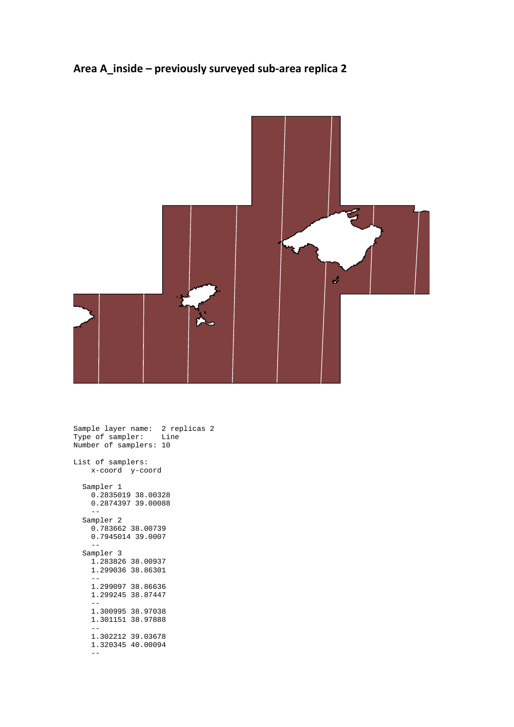## **Area A\_inside – previously surveyed sub-area replica 2**



Sample layer name: 2 replicas 2 Type of sampler: Line Number of samplers: 10 List of samplers: x-coord y-coord Sampler 1 0.2835019 38.00328 0.2874397 39.00088  $-$  Sampler 2 0.783662 38.00739 0.7945014 39.0007 -- Sampler 3 1.283826 38.00937 1.299036 38.86301 -- 1.299097 38.86636 1.299245 38.87447 -- 1.300995 38.97038 1.301151 38.97888 -- 1.302212 39.03678 1.320345 40.00094 --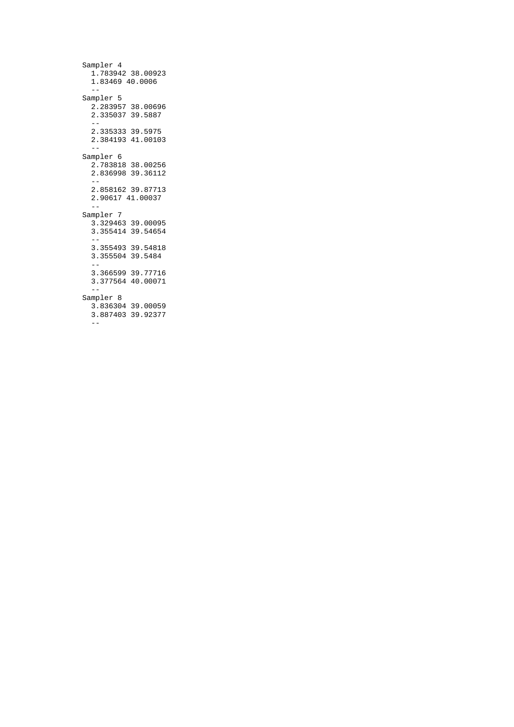```
 Sampler 4
    1.783942 38.00923
    1.83469 40.0006
   - - Sampler 5
 2.283957 38.00696
 2.335037 39.5887
 --
 2.335333 39.5975
    2.384193 41.00103
   - Sampler 6
    2.783818 38.00256
    2.836998 39.36112
    --
    2.858162 39.87713
    2.90617 41.00037
    --
  Sampler 7
    3.329463 39.00095
    3.355414 39.54654
   - 3.355493 39.54818
    3.355504 39.5484
 --
 3.366599 39.77716
    3.377564 40.00071
 --
 Sampler 8
    3.836304 39.00059
    3.887403 39.92377
   -
```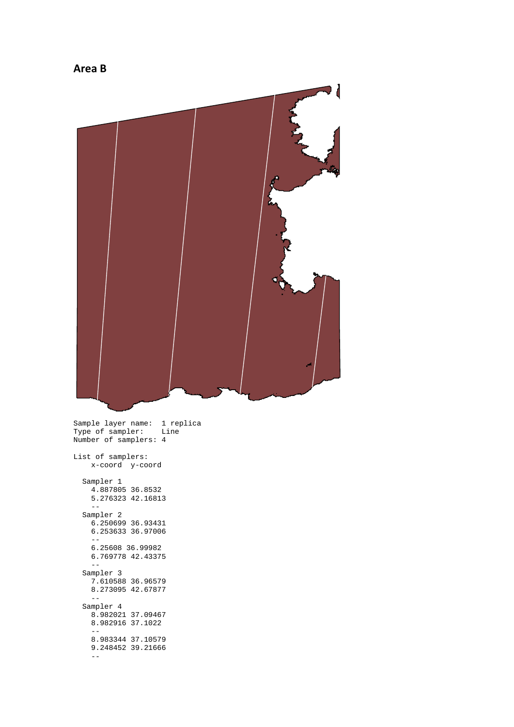

```
 Sampler 1
 4.887805 36.8532
 5.276323 42.16813
    - Sampler 2
    6.250699 36.93431
    6.253633 36.97006
 --
 6.25608 36.99982
    6.769778 42.43375
     --
  Sampler 3
    7.610588 36.96579
    8.273095 42.67877
 --
 Sampler 4
    8.982021 37.09467
    8.982916 37.1022
    --
    8.983344 37.10579
    9.248452 39.21666
    --
```
#### **Area B**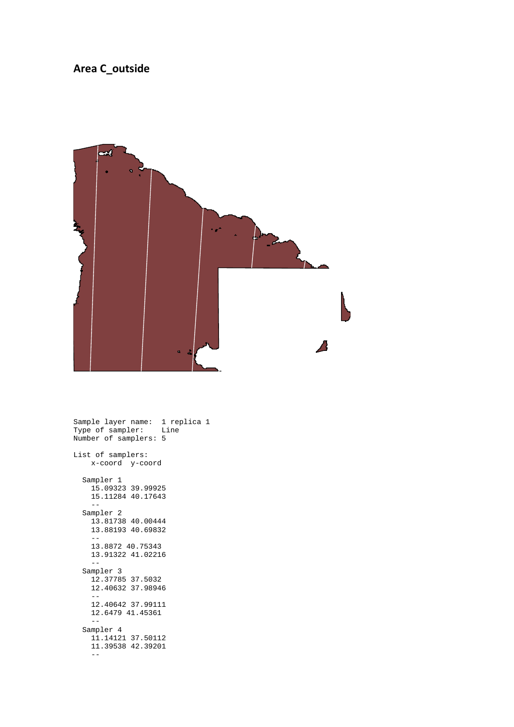#### **Area C\_outside**



Sample layer name: 1 replica 1 Type of sampler: Line Number of samplers: 5 List of samplers: x-coord y-coord Sampler 1  $15.09323$  39.99925 15.11284 40.17643 -- Sampler 2 13.81738 40.00444 13.88193 40.69832  $-$  13.8872 40.75343 13.91322 41.02216 -- Sampler 3 12.37785 37.5032 12.40632 37.98946 -- 12.40642 37.99111 12.6479 41.45361 -- Sampler 4 11.14121 37.50112 11.39538 42.39201  $-$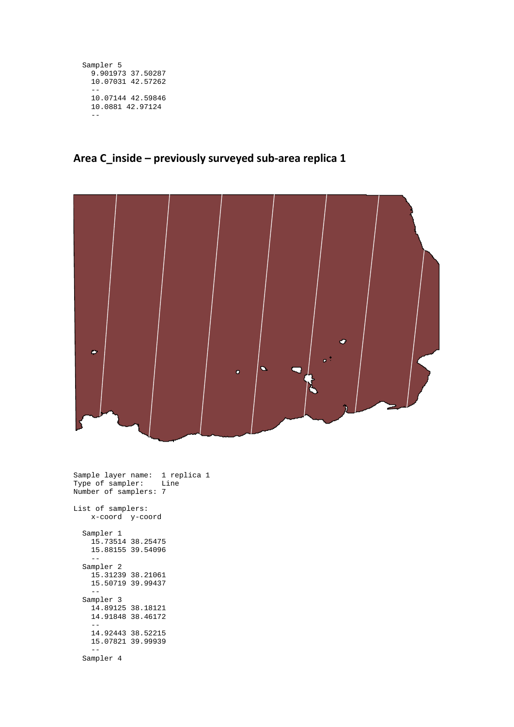```
 Sampler 5
   9.901973 37.50287
  10.07031 42.57262
  - 10.07144 42.59846
  10.0881 42.97124
   --
```
#### **Area C\_inside – previously surveyed sub-area replica 1**



Sample layer name: 1 replica 1 Type of sampler: Line Number of samplers: 7 List of samplers: x-coord y-coord Sampler 1 15.73514 38.25475 15.88155 39.54096 -- Sampler 2 15.31239 38.21061 15.50719 39.99437 -- Sampler 3 14.89125 38.18121 14.91848 38.46172 -- 14.92443 38.52215 15.07821 39.99939 -- Sampler 4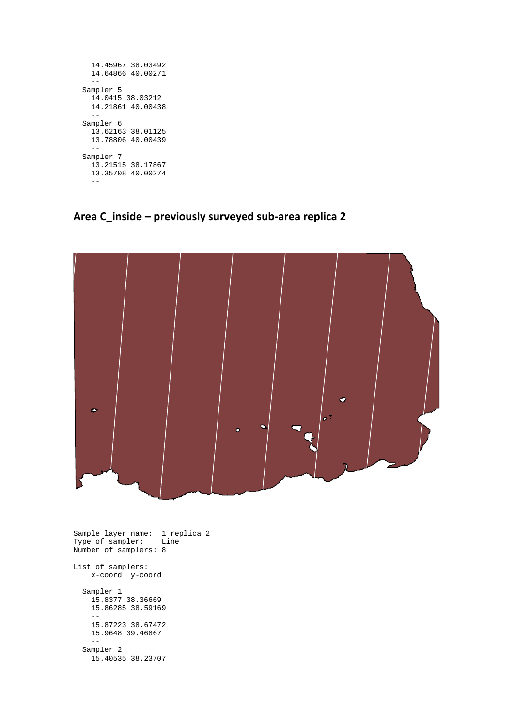| - -                           | 14.45967 38.03492<br>14.64866 40.00271 |
|-------------------------------|----------------------------------------|
| Sampler 5<br>14.0415 38.03212 | 14.21861 40.00438                      |
| Sampler 6                     | 13.62163 38.01125<br>13.78806 40.00439 |
| Sampler 7                     | 13.21515 38.17867<br>13.35708 40.00274 |

**Area C\_inside – previously surveyed sub-area replica 2**



```
Sample layer name: 1 replica 2
Type of sampler: Line
Number of samplers: 8
List of samplers:
    x-coord y-coord
 Sampler 1
 15.8377 38.36669
    15.86285 38.59169
   - 15.87223 38.67472
   15.9648 39.46867
 --
 Sampler 2
 15.40535 38.23707
```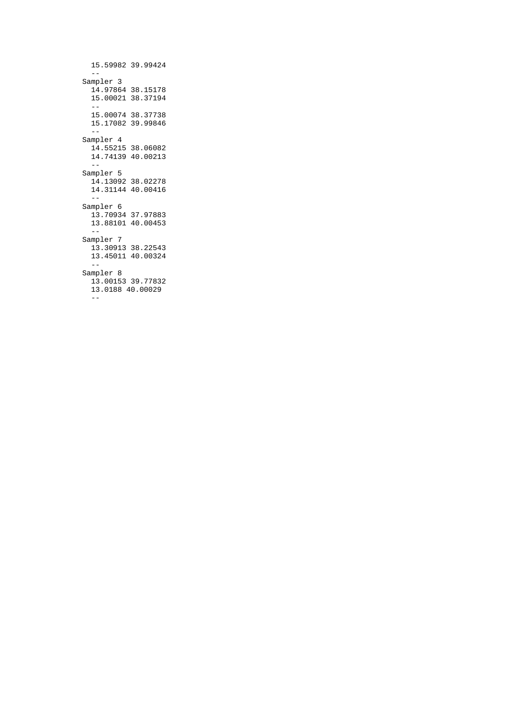```
 15.59982 39.99424
   - Sampler 3
    14.97864 38.15178
    15.00021 38.37194
 --
 15.00074 38.37738
    15.17082 39.99846
    --
  Sampler 4
    14.55215 38.06082
    14.74139 40.00213
 --
 Sampler 5
    14.13092 38.02278
    14.31144 40.00416
 --
 Sampler 6
 13.70934 37.97883
 13.88101 40.00453
 --
 Sampler 7
    13.30913 38.22543
    13.45011 40.00324
   - Sampler 8
    13.00153 39.77832
    13.0188 40.00029
    --
```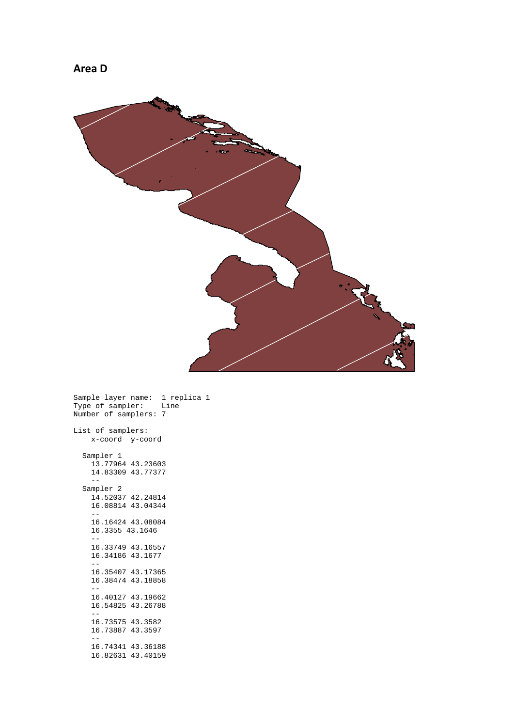

Sample layer name: 1 replica 1 Type of sampler: Line Number of samplers: 7

List of samplers: x-coord y-coord Sampler 1 13.77964 43.23603 14.83309 43.77377 -- Sampler 2 14.52037 42.24814 16.08814 43.04344 -- 16.16424 43.08084 16.3355 43.1646 -- 16.33749 43.16557  $16.34186$  43.1677 -- 16.35407 43.17365 16.38474 43.18858 -- 16.40127 43.19662 16.54825 43.26788 -- 16.73575 43.3582 16.73887 43.3597 -- 16.74341 43.36188 16.82631 43.40159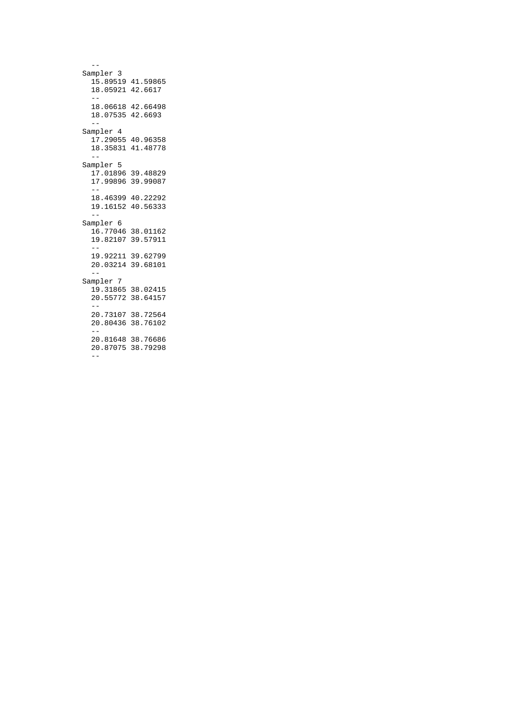$-$  Sampler 3  $15.89519$   $41.59865$  18.05921 42.6617 -- 18.06618 42.66498 18.07535 42.6693 -- Sampler 4  $17.29055$  40.96358 18.35831 41.48778  $-$  Sampler 5 17.01896 39.48829 17.99896 39.99087  $-$  18.46399 40.22292 19.16152 40.56333 -- Sampler 6 16.77046 38.01162 19.82107 39.57911  $-$  19.92211 39.62799 20.03214 39.68101 -- Sampler 7  $19.31865$  38.02415 20.55772 38.64157  $-$  20.73107 38.72564 20.80436 38.76102 -- 20.81648 38.76686 20.87075 38.79298 --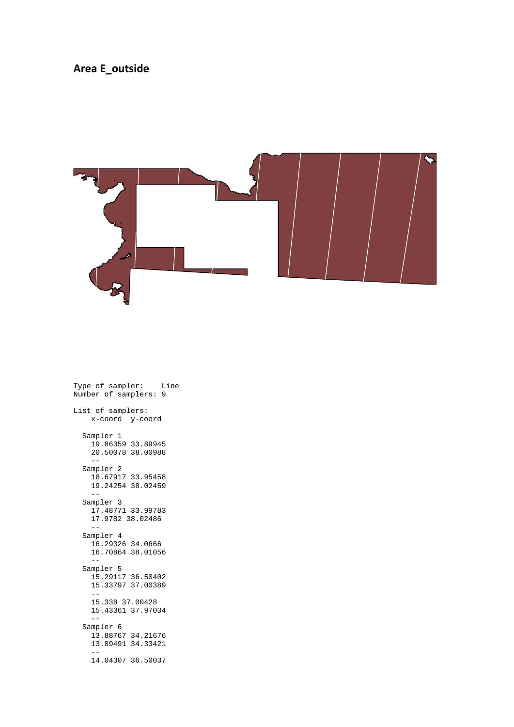#### **Area E\_outside**



Type of sampler: Line Number of samplers: 9 List of samplers: x-coord y-coord Sampler 1 19.86359 33.89945 20.50078 38.00988 -- Sampler 2 18.67917 33.95458 19.24254 38.02459 -- Sampler 3 17.48771 33.99783 17.9782 38.02486 -- Sampler 4 16.29326 34.0666 16.70864 38.01056 -- Sampler 5 15.29117 36.50402 15.33797 37.00389 -- 15.338 37.00428 15.43361 37.97034 -- Sampler 6 13.88767 34.21676 13.89491 34.33421 -- 14.04307 36.50037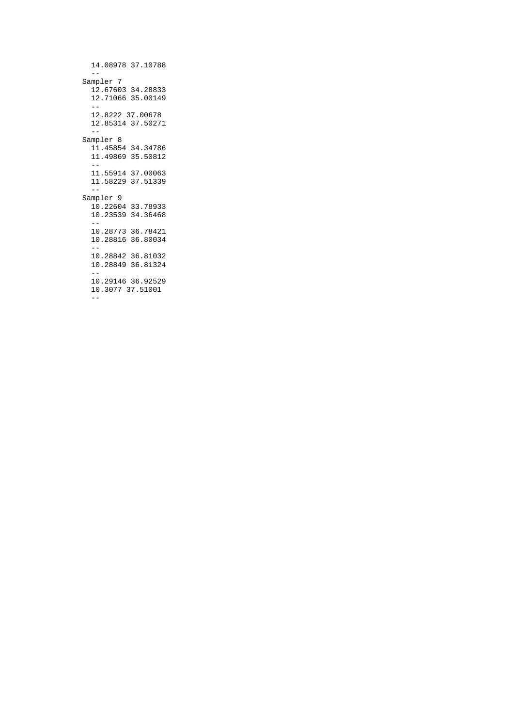14.08978 37.10788  $-$ Sampler 7 12.67603 34.28833 12.71066 35.00149 -- 12.8222 37.00678 12.85314 37.50271 -- Sampler 8 11.45854 34.34786 11.49869 35.50812 -- 11.55914 37.00063 11.58229 37.51339 -- Sampler 9 10.22604 33.78933 10.23539 34.36468 -- 10.28773 36.78421 10.28816 36.80034  $-$  10.28842 36.81032 10.28849 36.81324 -- 10.29146 36.92529 10.3077 37.51001 --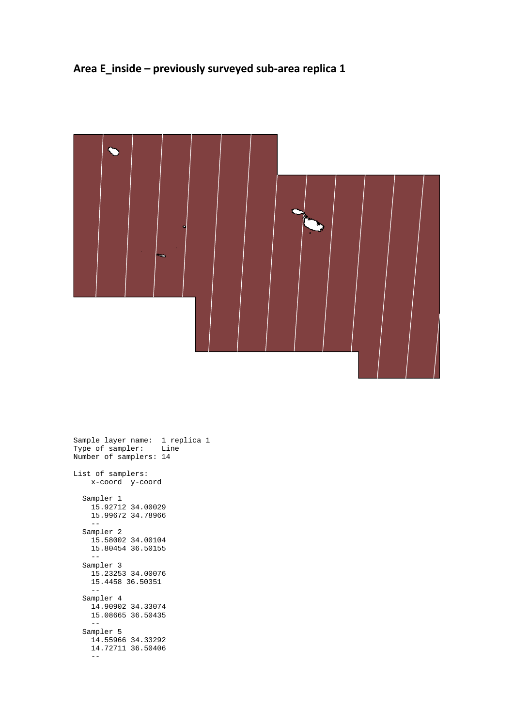## **Area E\_inside – previously surveyed sub-area replica 1**



| Number of samplers: 14 | Sample layer name:  1 replica 1<br>Type of sampler: Line |
|------------------------|----------------------------------------------------------|
| List of samplers:      | x-coord y-coord                                          |
| Sampler 1              | 15.92712 34.00029<br>15.99672 34.78966                   |
| Sampler 2<br>--        | 15.58002 34.00104<br>15.80454 36.50155                   |
| Sampler 3              | 15.23253 34.00076<br>15.4458 36.50351                    |
| Sampler 4<br>$- -$     | 14.90902 34.33074<br>15.08665 36.50435                   |
| Sampler 5              | 14.55966 34.33292<br>14.72711 36.50406                   |
|                        |                                                          |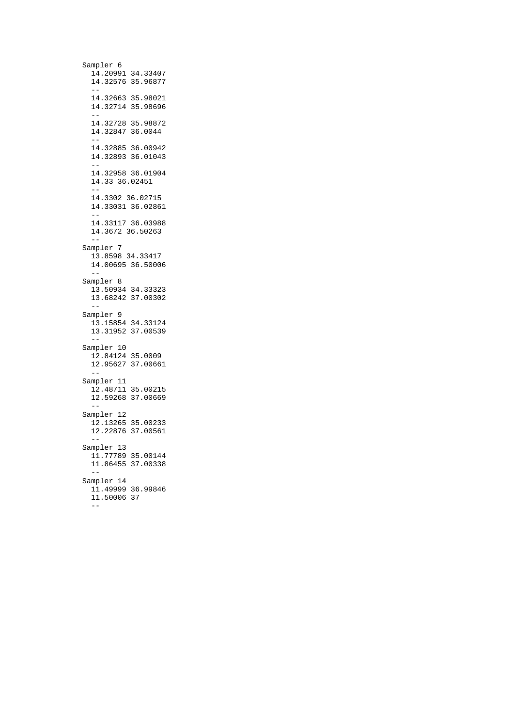Sampler 6 14.20991 34.33407 14.32576 35.96877 -- 14.32663 35.98021 14.32714 35.98696 -- 14.32728 35.98872 14.32847 36.0044 -- 14.32885 36.00942 14.32893 36.01043 -- 14.32958 36.01904 14.33 36.02451 -- 14.3302 36.02715 14.33031 36.02861 -- 14.33117 36.03988 14.3672 36.50263 -- Sampler 7 13.8598 34.33417 14.00695 36.50006 -- Sampler 8 13.50934 34.33323 13.68242 37.00302  $-$  Sampler 9 13.15854 34.33124 13.31952 37.00539 -- Sampler 10 12.84124 35.0009 12.95627 37.00661 -- Sampler 11 12.48711 35.00215 12.59268 37.00669 -- Sampler 12 12.13265 35.00233 12.22876 37.00561  $-$  Sampler 13 11.77789 35.00144 11.86455 37.00338 -- Sampler 14 11.49999 36.99846 11.50006 37 --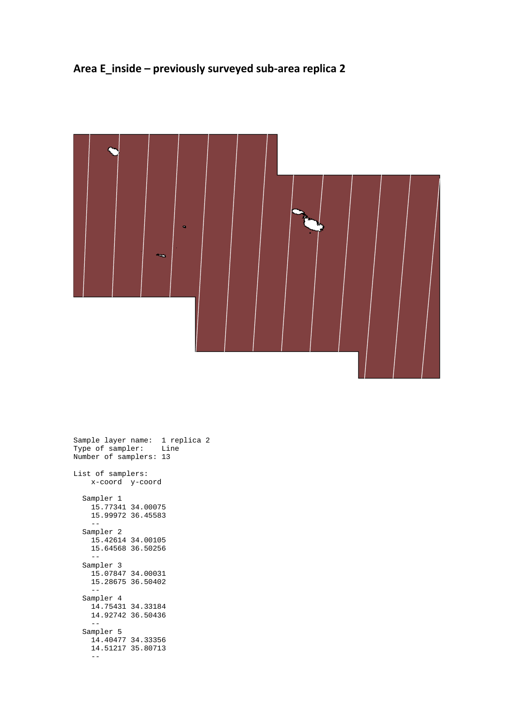## **Area E\_inside – previously surveyed sub-area replica 2**



|                    | Sample layer name:  1 replica 2<br>Type of sampler: Line<br>Number of samplers: 13 |  |
|--------------------|------------------------------------------------------------------------------------|--|
| List of samplers:  | x-coord y-coord                                                                    |  |
| Sampler 1          | 15.77341 34.00075<br>15.99972 36.45583                                             |  |
| Sampler 2          | 15.42614 34.00105<br>15.64568 36.50256                                             |  |
| Sampler 3          | 15.07847 34.00031<br>15.28675 36.50402                                             |  |
| Sampler 4<br>$- -$ | 14.75431 34.33184<br>14.92742 36.50436                                             |  |
| Sampler 5          | 14.40477 34.33356<br>14.51217 35.80713                                             |  |
|                    |                                                                                    |  |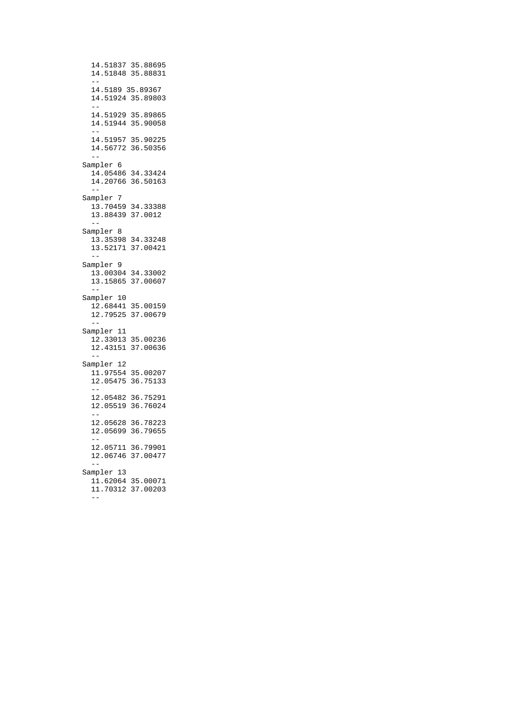14.51837 35.88695 14.51848 35.88831 -- 14.5189 35.89367 14.51924 35.89803 -- 14.51929 35.89865 14.51944 35.90058 -- 14.51957 35.90225  $14.56772$  36.50356 -- Sampler 6 14.05486 34.33424 14.20766 36.50163 -- Sampler 7 13.70459 34.33388 13.88439 37.0012 -- Sampler 8 13.35398 34.33248 13.52171 37.00421 -- Sampler 9 13.00304 34.33002 13.15865 37.00607 -- Sampler 10 12.68441 35.00159 12.79525 37.00679  $-$  Sampler 11 12.33013 35.00236 12.43151 37.00636 -- Sampler 12 11.97554 35.00207 12.05475 36.75133 -- 12.05482 36.75291 12.05519 36.76024 -- 12.05628 36.78223 12.05699 36.79655 -- 12.05711 36.79901 12.06746 37.00477 -- Sampler 13 11.62064 35.00071 11.70312 37.00203  $-$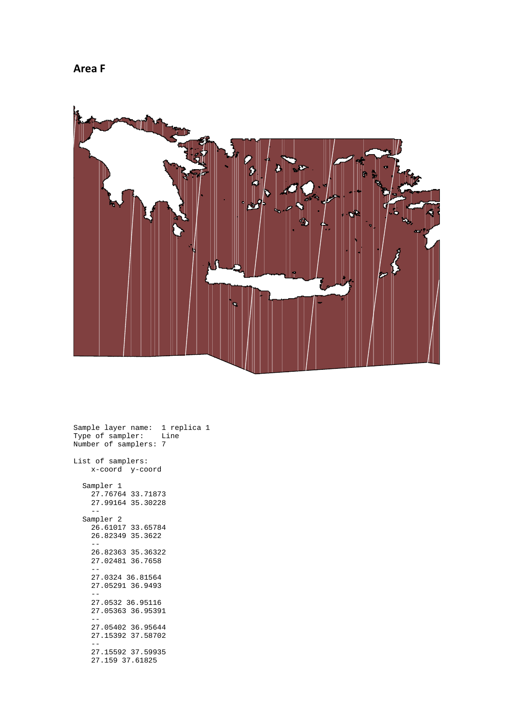



Sample layer name: 1 replica 1 Type of sampler: Line Number of samplers: 7 List of samplers: x-coord y-coord Sampler 1 27.76764 33.71873 27.99164 35.30228  $-$  Sampler 2 26.61017 33.65784 26.82349 35.3622 -- 26.82363 35.36322 27.02481 36.7658 -- 27.0324 36.81564 27.05291 36.9493 -- 27.0532 36.95116 27.05363 36.95391 -- 27.05402 36.95644 27.15392 37.58702 -- 27.15592 37.59935 27.159 37.61825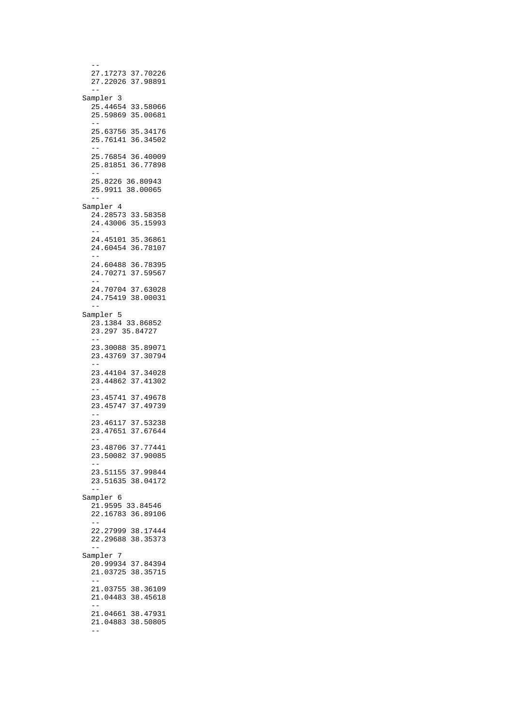-- 27.17273 37.70226 27.22026 37.98891  $-$  Sampler 3 25.44654 33.58066 25.59869 35.00681 -- 25.63756 35.34176 25.76141 36.34502 -- 25.76854 36.40009 25.81851 36.77898 -- 25.8226 36.80943 25.9911 38.00065 -- Sampler 4 24.28573 33.58358 24.43006 35.15993 -- 24.45101 35.36861 24.60454 36.78107 -- 24.60488 36.78395 24.70271 37.59567 -- 24.70704 37.63028 24.75419 38.00031 -- Sampler 5 23.1384 33.86852 23.297 35.84727 -- 23.30088 35.89071 23.43769 37.30794 -- 23.44104 37.34028 23.44862 37.41302 -- 23.45741 37.49678 23.45747 37.49739 -- 23.46117 37.53238 23.47651 37.67644 -- 23.48706 37.77441 23.50082 37.90085 -- 23.51155 37.99844 23.51635 38.04172 -- Sampler 6 21.9595 33.84546 22.16783 36.89106 -- 22.27999 38.17444 22.29688 38.35373 -- Sampler 7 20.99934 37.84394 21.03725 38.35715 -- 21.03755 38.36109 21.04483 38.45618 -- 21.04661 38.47931 21.04883 38.50805 --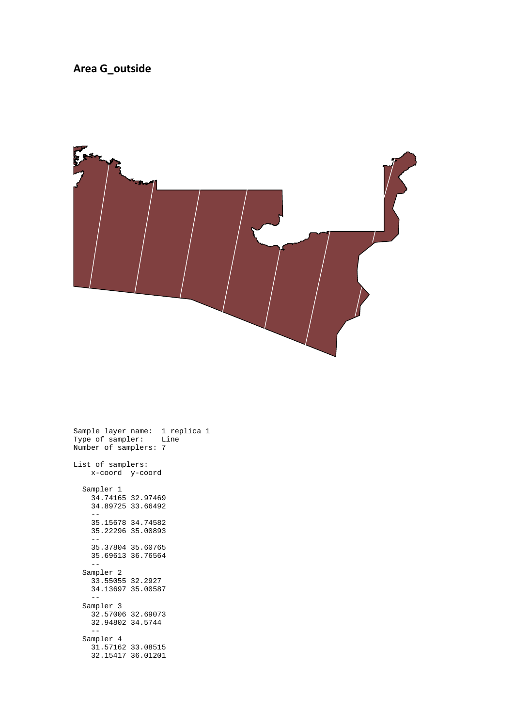#### **Area G\_outside**



Sample layer name: 1 replica 1 Type of sampler: Line Number of samplers: 7 List of samplers: x-coord y-coord Sampler 1 34.74165 32.97469 34.89725 33.66492 -- 35.15678 34.74582 35.22296 35.00893 -- 35.37804 35.60765 35.69613 36.76564  $-$  Sampler 2 33.55055 32.2927 34.13697 35.00587 -- Sampler 3 32.57006 32.69073 32.94802 34.5744  $-$  Sampler 4 31.57162 33.08515 32.15417 36.01201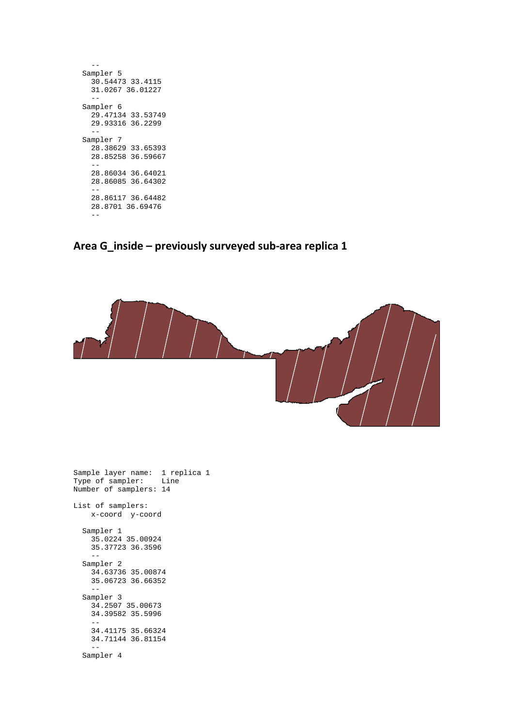| Sampler 5         |
|-------------------|
| 30.54473 33.4115  |
| 31.0267 36.01227  |
|                   |
| Sampler 6         |
| 29.47134 33.53749 |
| 29.93316 36.2299  |
|                   |
| Sampler 7         |
| 28.38629 33.65393 |
| 28.85258 36.59667 |
|                   |
| 28.86034 36.64021 |
| 28.86085 36.64302 |
|                   |
| 28.86117 36.64482 |
| 28.8701 36.69476  |
|                   |
|                   |

## **Area G\_inside – previously surveyed sub-area replica 1**



Sample layer name: 1 replica 1 Type of sampler: Line Number of samplers: 14 List of samplers: x-coord y-coord Sampler 1 35.0224 35.00924 35.37723 36.3596 -- Sampler 2 34.63736 35.00874 35.06723 36.66352 -- Sampler 3 34.2507 35.00673 34.39582 35.5996 -- 34.41175 35.66324 34.71144 36.81154 -- Sampler 4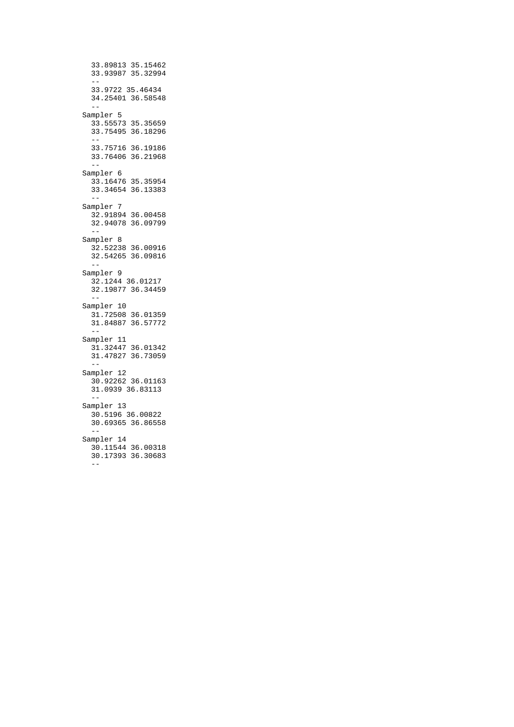33.89813 35.15462 33.93987 35.32994 -- 33.9722 35.46434 34.25401 36.58548 -- Sampler 5 33.55573 35.35659 33.75495 36.18296 -- 33.75716 36.19186 33.76406 36.21968 -- Sampler 6 33.16476 35.35954 33.34654 36.13383 -- Sampler 7 32.91894 36.00458 32.94078 36.09799 -- Sampler 8 32.52238 36.00916 32.54265 36.09816  $- -$  Sampler 9 32.1244 36.01217 32.19877 36.34459 -- Sampler 10 31.72508 36.01359 31.84887 36.57772 -- Sampler 11 31.32447 36.01342 31.47827 36.73059  $-$  Sampler 12 30.92262 36.01163 31.0939 36.83113 -- Sampler 13 30.5196 36.00822 30.69365 36.86558 -- Sampler 14 30.11544 36.00318 30.17393 36.30683 --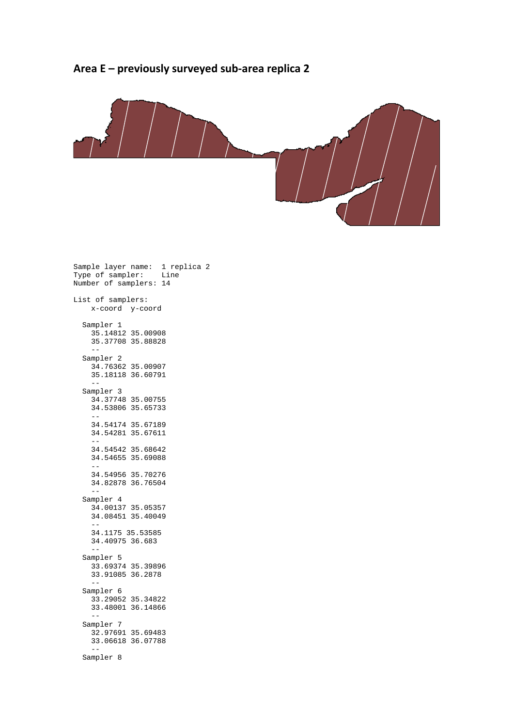#### **Area E – previously surveyed sub-area replica 2**



Sample layer name: 1 replica 2 Type of sampler: Line Number of samplers: 14 List of samplers: x-coord y-coord Sampler 1 35.14812 35.00908 35.37708 35.88828 -- Sampler 2 34.76362 35.00907 35.18118 36.60791  $- -$  Sampler 3 34.37748 35.00755 34.53806 35.65733 -- 34.54174 35.67189 34.54281 35.67611 -- 34.54542 35.68642 34.54655 35.69088 -- 34.54956 35.70276 34.82878 36.76504 -- Sampler 4 34.00137 35.05357 34.08451 35.40049 -- 34.1175 35.53585 34.40975 36.683 -- Sampler 5 33.69374 35.39896 33.91085 36.2878 -- Sampler 6  $33.29052$  35.34822 33.48001 36.14866 -- Sampler 7 32.97691 35.69483 33.06618 36.07788 -- Sampler 8